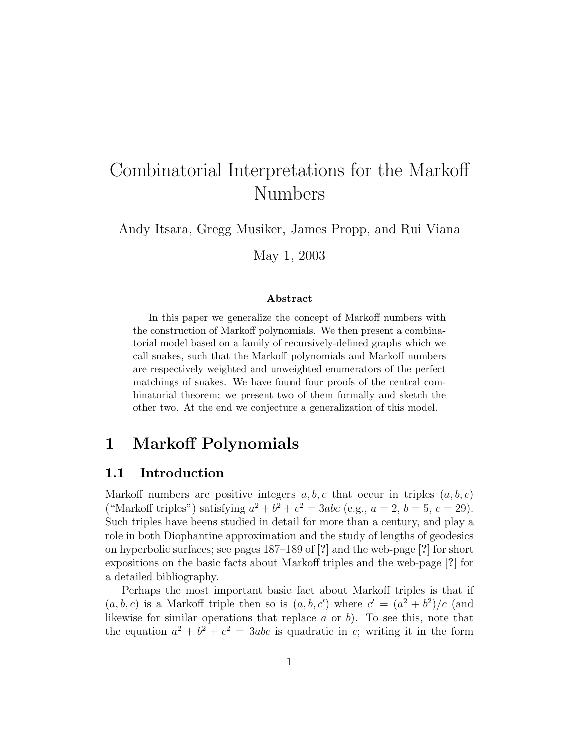# Combinatorial Interpretations for the Markoff Numbers

Andy Itsara, Gregg Musiker, James Propp, and Rui Viana

May 1, 2003

#### Abstract

In this paper we generalize the concept of Markoff numbers with the construction of Markoff polynomials. We then present a combinatorial model based on a family of recursively-defined graphs which we call snakes, such that the Markoff polynomials and Markoff numbers are respectively weighted and unweighted enumerators of the perfect matchings of snakes. We have found four proofs of the central combinatorial theorem; we present two of them formally and sketch the other two. At the end we conjecture a generalization of this model.

### 1 Markoff Polynomials

#### 1.1 Introduction

Markoff numbers are positive integers  $a, b, c$  that occur in triples  $(a, b, c)$ ("Markoff triples") satisfying  $a^2 + b^2 + c^2 = 3abc$  (e.g.,  $a = 2$ ,  $b = 5$ ,  $c = 29$ ). Such triples have beens studied in detail for more than a century, and play a role in both Diophantine approximation and the study of lengths of geodesics on hyperbolic surfaces; see pages 187–189 of [?] and the web-page [?] for short expositions on the basic facts about Markoff triples and the web-page [?] for a detailed bibliography.

Perhaps the most important basic fact about Markoff triples is that if  $(a, b, c)$  is a Markoff triple then so is  $(a, b, c')$  where  $c' = (a^2 + b^2)/c$  (and likewise for similar operations that replace  $a$  or  $b$ ). To see this, note that the equation  $a^2 + b^2 + c^2 = 3abc$  is quadratic in c; writing it in the form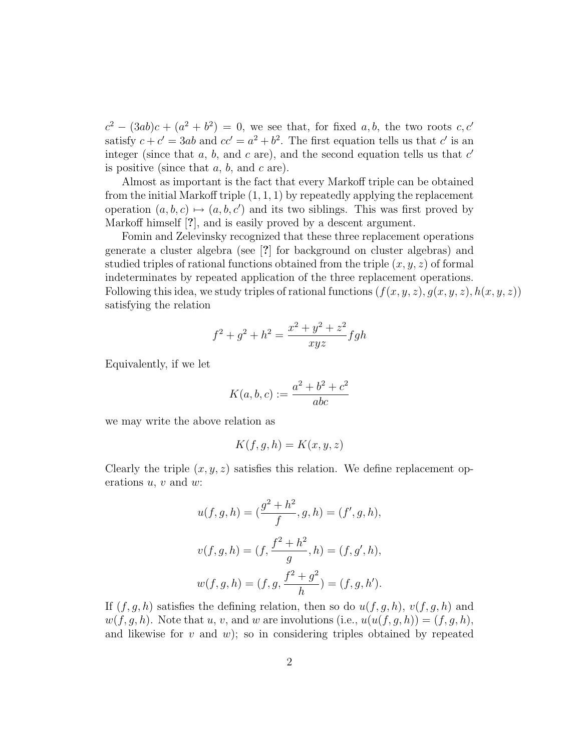$c^2 - (3ab)c + (a^2 + b^2) = 0$ , we see that, for fixed a, b, the two roots c, c' satisfy  $c + c' = 3ab$  and  $cc' = a^2 + b^2$ . The first equation tells us that c' is an integer (since that  $a, b$ , and  $c$  are), and the second equation tells us that  $c'$ is positive (since that  $a, b$ , and  $c$  are).

Almost as important is the fact that every Markoff triple can be obtained from the initial Markoff triple  $(1, 1, 1)$  by repeatedly applying the replacement operation  $(a, b, c) \mapsto (a, b, c')$  and its two siblings. This was first proved by Markoff himself [?], and is easily proved by a descent argument.

Fomin and Zelevinsky recognized that these three replacement operations generate a cluster algebra (see [?] for background on cluster algebras) and studied triples of rational functions obtained from the triple  $(x, y, z)$  of formal indeterminates by repeated application of the three replacement operations. Following this idea, we study triples of rational functions  $(f(x, y, z), g(x, y, z), h(x, y, z))$ satisfying the relation

$$
f^{2} + g^{2} + h^{2} = \frac{x^{2} + y^{2} + z^{2}}{xyz} fgh
$$

Equivalently, if we let

$$
K(a, b, c) := \frac{a^2 + b^2 + c^2}{abc}
$$

we may write the above relation as

$$
K(f, g, h) = K(x, y, z)
$$

Clearly the triple  $(x, y, z)$  satisfies this relation. We define replacement operations  $u, v$  and  $w$ :

$$
u(f, g, h) = (\frac{g^2 + h^2}{f}, g, h) = (f', g, h),
$$
  

$$
v(f, g, h) = (f, \frac{f^2 + h^2}{g}, h) = (f, g', h),
$$
  

$$
w(f, g, h) = (f, g, \frac{f^2 + g^2}{h}) = (f, g, h').
$$

If  $(f, g, h)$  satisfies the defining relation, then so do  $u(f, g, h)$ ,  $v(f, g, h)$  and  $w(f, g, h)$ . Note that u, v, and w are involutions (i.e.,  $u(u(f, g, h)) = (f, g, h)$ , and likewise for  $v$  and  $w$ ; so in considering triples obtained by repeated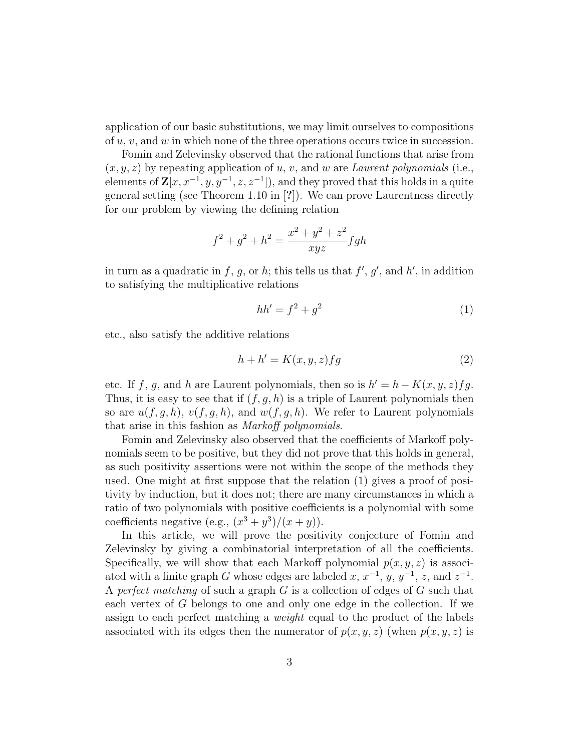application of our basic substitutions, we may limit ourselves to compositions of  $u, v$ , and  $w$  in which none of the three operations occurs twice in succession.

Fomin and Zelevinsky observed that the rational functions that arise from  $(x, y, z)$  by repeating application of u, v, and w are Laurent polynomials (i.e., elements of  $\mathbf{Z}[x, x^{-1}, y, y^{-1}, z, z^{-1}]$ , and they proved that this holds in a quite general setting (see Theorem 1.10 in [?]). We can prove Laurentness directly for our problem by viewing the defining relation

$$
f^{2} + g^{2} + h^{2} = \frac{x^{2} + y^{2} + z^{2}}{xyz} fgh
$$

in turn as a quadratic in f, g, or h; this tells us that  $f', g'$ , and h', in addition to satisfying the multiplicative relations

$$
hh' = f^2 + g^2 \tag{1}
$$

etc., also satisfy the additive relations

$$
h + h' = K(x, y, z)fg
$$
 (2)

etc. If f, g, and h are Laurent polynomials, then so is  $h' = h - K(x, y, z)fg$ . Thus, it is easy to see that if  $(f, g, h)$  is a triple of Laurent polynomials then so are  $u(f, g, h)$ ,  $v(f, g, h)$ , and  $w(f, g, h)$ . We refer to Laurent polynomials that arise in this fashion as Markoff polynomials.

Fomin and Zelevinsky also observed that the coefficients of Markoff polynomials seem to be positive, but they did not prove that this holds in general, as such positivity assertions were not within the scope of the methods they used. One might at first suppose that the relation (1) gives a proof of positivity by induction, but it does not; there are many circumstances in which a ratio of two polynomials with positive coefficients is a polynomial with some coefficients negative (e.g.,  $(x^3 + y^3)/(x + y)$ ).

In this article, we will prove the positivity conjecture of Fomin and Zelevinsky by giving a combinatorial interpretation of all the coefficients. Specifically, we will show that each Markoff polynomial  $p(x, y, z)$  is associated with a finite graph G whose edges are labeled  $x, x^{-1}, y, y^{-1}, z$ , and  $z^{-1}$ . A perfect matching of such a graph  $G$  is a collection of edges of  $G$  such that each vertex of G belongs to one and only one edge in the collection. If we assign to each perfect matching a weight equal to the product of the labels associated with its edges then the numerator of  $p(x, y, z)$  (when  $p(x, y, z)$  is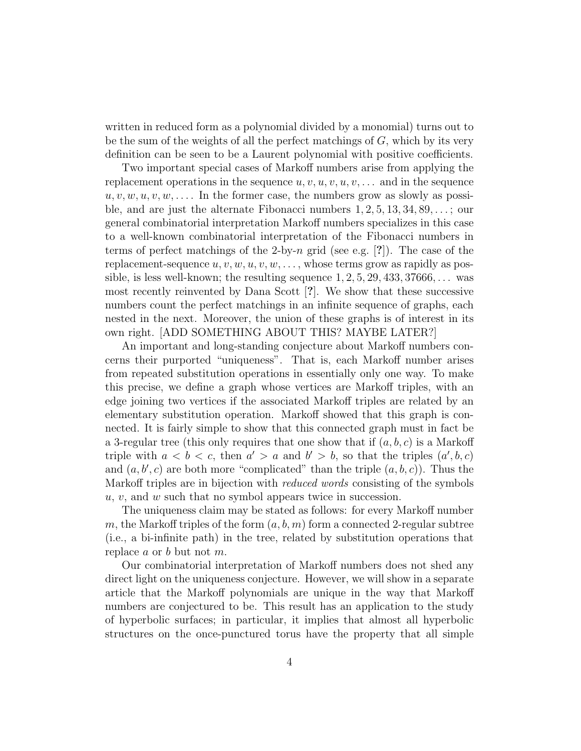written in reduced form as a polynomial divided by a monomial) turns out to be the sum of the weights of all the perfect matchings of  $G$ , which by its very definition can be seen to be a Laurent polynomial with positive coefficients.

Two important special cases of Markoff numbers arise from applying the replacement operations in the sequence  $u, v, u, v, u, v, \ldots$  and in the sequence  $u, v, w, u, v, w, \ldots$  In the former case, the numbers grow as slowly as possible, and are just the alternate Fibonacci numbers  $1, 2, 5, 13, 34, 89, \ldots$ ; our general combinatorial interpretation Markoff numbers specializes in this case to a well-known combinatorial interpretation of the Fibonacci numbers in terms of perfect matchings of the 2-by-n grid (see e.g.  $[?]$ ). The case of the replacement-sequence  $u, v, w, u, v, w, \ldots$ , whose terms grow as rapidly as possible, is less well-known; the resulting sequence  $1, 2, 5, 29, 433, 37666, \ldots$  was most recently reinvented by Dana Scott [?]. We show that these successive numbers count the perfect matchings in an infinite sequence of graphs, each nested in the next. Moreover, the union of these graphs is of interest in its own right. [ADD SOMETHING ABOUT THIS? MAYBE LATER?]

An important and long-standing conjecture about Markoff numbers concerns their purported "uniqueness". That is, each Markoff number arises from repeated substitution operations in essentially only one way. To make this precise, we define a graph whose vertices are Markoff triples, with an edge joining two vertices if the associated Markoff triples are related by an elementary substitution operation. Markoff showed that this graph is connected. It is fairly simple to show that this connected graph must in fact be a 3-regular tree (this only requires that one show that if  $(a, b, c)$  is a Markoff triple with  $a < b < c$ , then  $a' > a$  and  $b' > b$ , so that the triples  $(a', b, c)$ and  $(a, b', c)$  are both more "complicated" than the triple  $(a, b, c)$ ). Thus the Markoff triples are in bijection with *reduced words* consisting of the symbols  $u, v$ , and  $w$  such that no symbol appears twice in succession.

The uniqueness claim may be stated as follows: for every Markoff number m, the Markoff triples of the form  $(a, b, m)$  form a connected 2-regular subtree (i.e., a bi-infinite path) in the tree, related by substitution operations that replace  $a$  or  $b$  but not  $m$ .

Our combinatorial interpretation of Markoff numbers does not shed any direct light on the uniqueness conjecture. However, we will show in a separate article that the Markoff polynomials are unique in the way that Markoff numbers are conjectured to be. This result has an application to the study of hyperbolic surfaces; in particular, it implies that almost all hyperbolic structures on the once-punctured torus have the property that all simple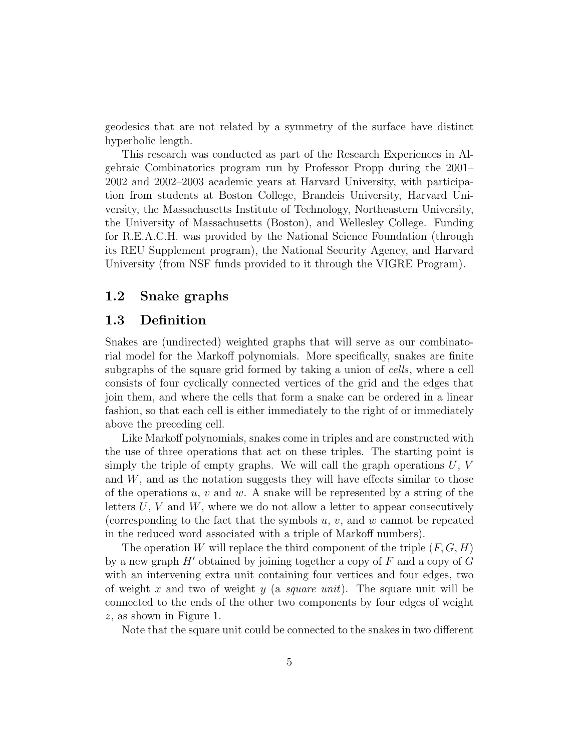geodesics that are not related by a symmetry of the surface have distinct hyperbolic length.

This research was conducted as part of the Research Experiences in Algebraic Combinatorics program run by Professor Propp during the 2001– 2002 and 2002–2003 academic years at Harvard University, with participation from students at Boston College, Brandeis University, Harvard University, the Massachusetts Institute of Technology, Northeastern University, the University of Massachusetts (Boston), and Wellesley College. Funding for R.E.A.C.H. was provided by the National Science Foundation (through its REU Supplement program), the National Security Agency, and Harvard University (from NSF funds provided to it through the VIGRE Program).

#### 1.2 Snake graphs

#### 1.3 Definition

Snakes are (undirected) weighted graphs that will serve as our combinatorial model for the Markoff polynomials. More specifically, snakes are finite subgraphs of the square grid formed by taking a union of cells, where a cell consists of four cyclically connected vertices of the grid and the edges that join them, and where the cells that form a snake can be ordered in a linear fashion, so that each cell is either immediately to the right of or immediately above the preceding cell.

Like Markoff polynomials, snakes come in triples and are constructed with the use of three operations that act on these triples. The starting point is simply the triple of empty graphs. We will call the graph operations  $U, V$ and  $W$ , and as the notation suggests they will have effects similar to those of the operations u, v and w. A snake will be represented by a string of the letters  $U, V$  and  $W$ , where we do not allow a letter to appear consecutively (corresponding to the fact that the symbols  $u, v$ , and  $w$  cannot be repeated in the reduced word associated with a triple of Markoff numbers).

The operation W will replace the third component of the triple  $(F, G, H)$ by a new graph  $H'$  obtained by joining together a copy of F and a copy of G with an intervening extra unit containing four vertices and four edges, two of weight x and two of weight y (a square unit). The square unit will be connected to the ends of the other two components by four edges of weight z, as shown in Figure 1.

Note that the square unit could be connected to the snakes in two different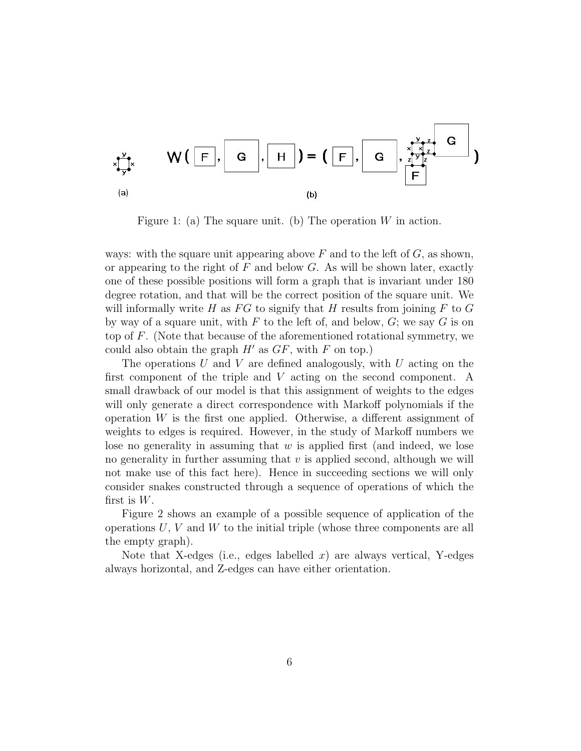$$
\begin{array}{cc}\n\sum_{x \sim \overline{y}} x & W \left( \begin{array}{c|c} \overline{F} \end{array}, G \end{array}, H \right) = \left( \begin{array}{c|c} \overline{F} \end{array}, G \end{array}, \begin{array}{c} \sum_{x \sim \overline{y}} x \\ \overline{F} \end{array} \right) \\
\begin{array}{cc}\n\text{(a)} & \text{(b)}\n\end{array}
$$

Figure 1: (a) The square unit. (b) The operation  $W$  in action.

ways: with the square unit appearing above  $F$  and to the left of  $G$ , as shown, or appearing to the right of  $F$  and below  $G$ . As will be shown later, exactly one of these possible positions will form a graph that is invariant under 180 degree rotation, and that will be the correct position of the square unit. We will informally write H as  $FG$  to signify that H results from joining F to G by way of a square unit, with  $F$  to the left of, and below,  $G$ ; we say  $G$  is on top of F. (Note that because of the aforementioned rotational symmetry, we could also obtain the graph  $H'$  as  $GF$ , with F on top.)

The operations U and V are defined analogously, with U acting on the first component of the triple and V acting on the second component. A small drawback of our model is that this assignment of weights to the edges will only generate a direct correspondence with Markoff polynomials if the operation  $W$  is the first one applied. Otherwise, a different assignment of weights to edges is required. However, in the study of Markoff numbers we lose no generality in assuming that  $w$  is applied first (and indeed, we lose no generality in further assuming that  $v$  is applied second, although we will not make use of this fact here). Hence in succeeding sections we will only consider snakes constructed through a sequence of operations of which the first is  $W$ .

Figure 2 shows an example of a possible sequence of application of the operations  $U, V$  and  $W$  to the initial triple (whose three components are all the empty graph).

Note that X-edges (i.e., edges labelled x) are always vertical, Y-edges always horizontal, and Z-edges can have either orientation.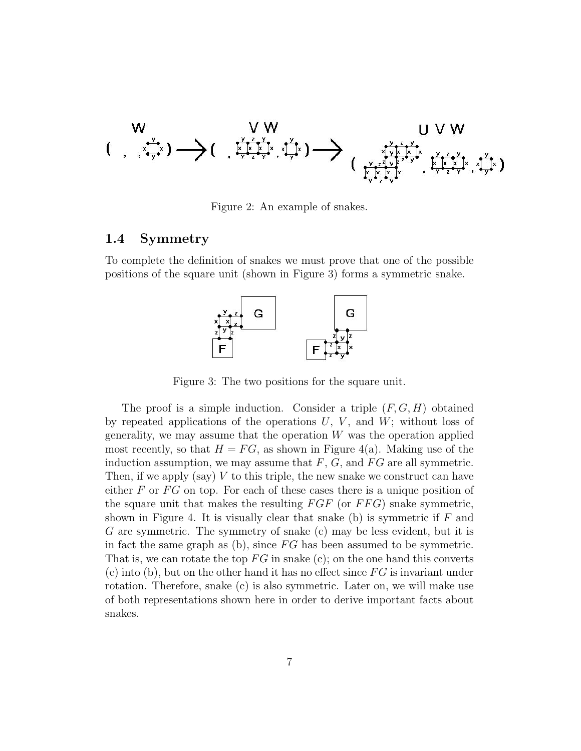

Figure 2: An example of snakes.

#### 1.4 Symmetry

To complete the definition of snakes we must prove that one of the possible positions of the square unit (shown in Figure 3) forms a symmetric snake.



Figure 3: The two positions for the square unit.

The proof is a simple induction. Consider a triple  $(F, G, H)$  obtained by repeated applications of the operations  $U, V$ , and  $W$ ; without loss of generality, we may assume that the operation  $W$  was the operation applied most recently, so that  $H = FG$ , as shown in Figure 4(a). Making use of the induction assumption, we may assume that  $F$ ,  $G$ , and  $FG$  are all symmetric. Then, if we apply (say)  $V$  to this triple, the new snake we construct can have either  $F$  or  $FG$  on top. For each of these cases there is a unique position of the square unit that makes the resulting  $FGF$  (or  $FFG$ ) snake symmetric, shown in Figure 4. It is visually clear that snake  $(b)$  is symmetric if F and G are symmetric. The symmetry of snake (c) may be less evident, but it is in fact the same graph as  $(b)$ , since FG has been assumed to be symmetric. That is, we can rotate the top  $FG$  in snake (c); on the one hand this converts  $(c)$  into (b), but on the other hand it has no effect since  $FG$  is invariant under rotation. Therefore, snake (c) is also symmetric. Later on, we will make use of both representations shown here in order to derive important facts about snakes.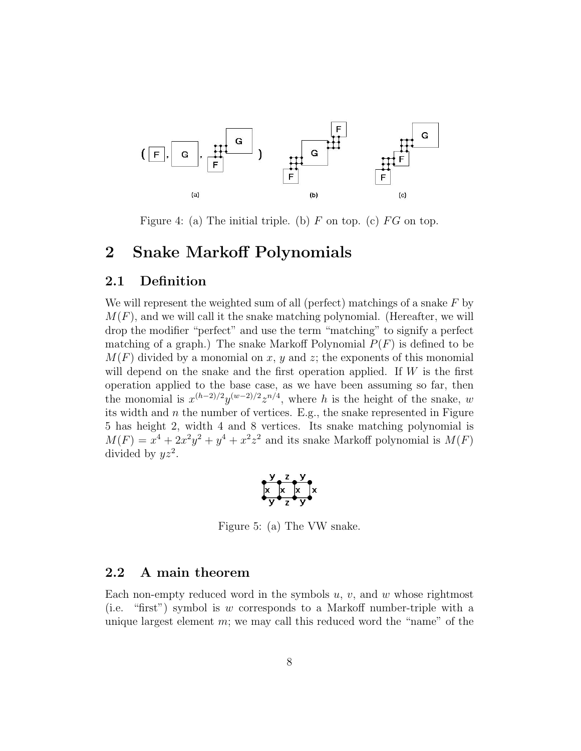

Figure 4: (a) The initial triple. (b)  $F$  on top. (c)  $FG$  on top.

### 2 Snake Markoff Polynomials

#### 2.1 Definition

We will represent the weighted sum of all (perfect) matchings of a snake  $F$  by  $M(F)$ , and we will call it the snake matching polynomial. (Hereafter, we will drop the modifier "perfect" and use the term "matching" to signify a perfect matching of a graph.) The snake Markoff Polynomial  $P(F)$  is defined to be  $M(F)$  divided by a monomial on x, y and z; the exponents of this monomial will depend on the snake and the first operation applied. If  $W$  is the first operation applied to the base case, as we have been assuming so far, then the monomial is  $x^{(h-2)/2}y^{(w-2)/2}z^{n/4}$ , where h is the height of the snake, w its width and  $n$  the number of vertices. E.g., the snake represented in Figure 5 has height 2, width 4 and 8 vertices. Its snake matching polynomial is  $M(F) = x^4 + 2x^2y^2 + y^4 + x^2z^2$  and its snake Markoff polynomial is  $M(F)$ divided by  $yz^2$ .

$$
\begin{array}{ccc}\n & x & y \\
\hline\n & x & x \\
y & z & y\n\end{array}
$$

Figure 5: (a) The VW snake.

#### 2.2 A main theorem

Each non-empty reduced word in the symbols  $u, v$ , and  $w$  whose rightmost (i.e. "first") symbol is w corresponds to a Markoff number-triple with a unique largest element  $m$ ; we may call this reduced word the "name" of the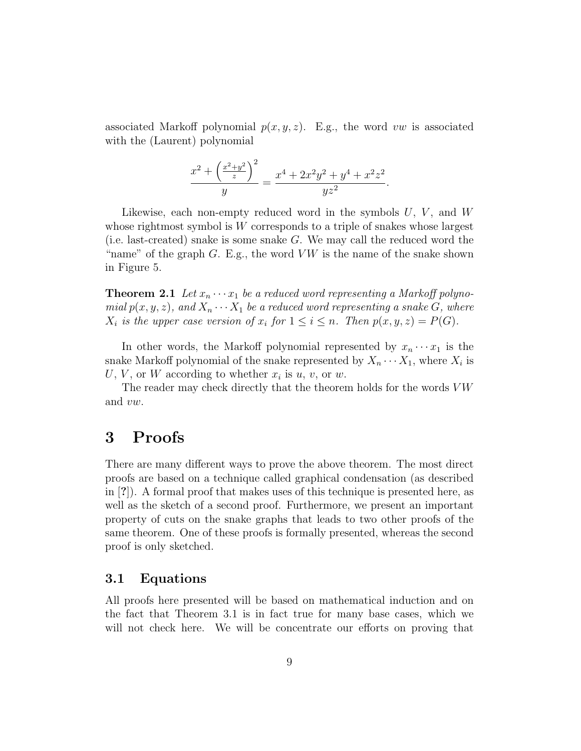associated Markoff polynomial  $p(x, y, z)$ . E.g., the word vw is associated with the (Laurent) polynomial

$$
\frac{x^2 + \left(\frac{x^2 + y^2}{z}\right)^2}{y} = \frac{x^4 + 2x^2y^2 + y^4 + x^2z^2}{yz^2}.
$$

Likewise, each non-empty reduced word in the symbols  $U, V,$  and  $W$ whose rightmost symbol is W corresponds to a triple of snakes whose largest (i.e. last-created) snake is some snake  $G$ . We may call the reduced word the "name" of the graph  $G$ . E.g., the word  $VW$  is the name of the snake shown in Figure 5.

**Theorem 2.1** Let  $x_n \cdots x_1$  be a reduced word representing a Markoff polynomial  $p(x, y, z)$ , and  $X_n \cdots X_1$  be a reduced word representing a snake G, where  $X_i$  is the upper case version of  $x_i$  for  $1 \leq i \leq n$ . Then  $p(x, y, z) = P(G)$ .

In other words, the Markoff polynomial represented by  $x_n \cdots x_1$  is the snake Markoff polynomial of the snake represented by  $X_n \cdots X_1$ , where  $X_i$  is U, V, or W according to whether  $x_i$  is  $u, v$ , or  $w$ .

The reader may check directly that the theorem holds for the words  $VW$ and vw.

### 3 Proofs

There are many different ways to prove the above theorem. The most direct proofs are based on a technique called graphical condensation (as described in [?]). A formal proof that makes uses of this technique is presented here, as well as the sketch of a second proof. Furthermore, we present an important property of cuts on the snake graphs that leads to two other proofs of the same theorem. One of these proofs is formally presented, whereas the second proof is only sketched.

#### 3.1 Equations

All proofs here presented will be based on mathematical induction and on the fact that Theorem 3.1 is in fact true for many base cases, which we will not check here. We will be concentrate our efforts on proving that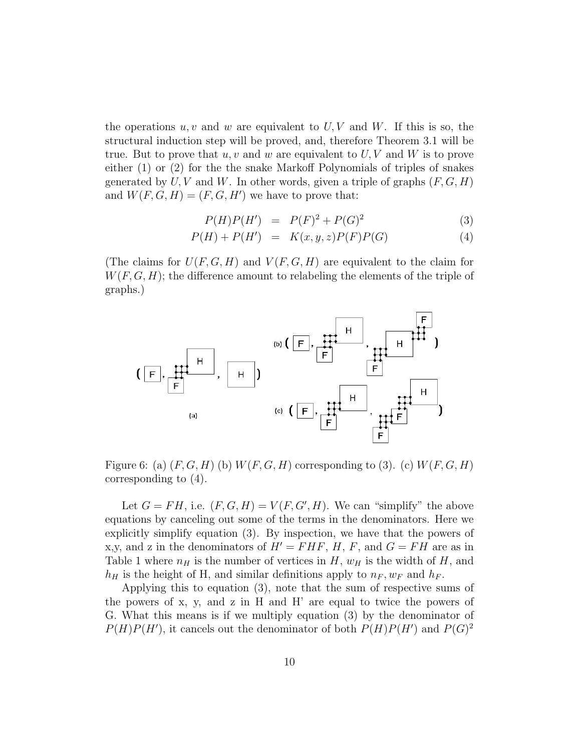the operations  $u, v$  and w are equivalent to  $U, V$  and  $W$ . If this is so, the structural induction step will be proved, and, therefore Theorem 3.1 will be true. But to prove that  $u, v$  and w are equivalent to  $U, V$  and W is to prove either (1) or (2) for the the snake Markoff Polynomials of triples of snakes generated by  $U, V$  and  $W$ . In other words, given a triple of graphs  $(F, G, H)$ and  $W(F, G, H) = (F, G, H')$  we have to prove that:

$$
P(H)P(H') = P(F)^{2} + P(G)^{2}
$$
\n(3)

$$
P(H) + P(H') = K(x, y, z)P(F)P(G)
$$
\n
$$
(4)
$$

(The claims for  $U(F, G, H)$  and  $V(F, G, H)$  are equivalent to the claim for  $W(F, G, H)$ ; the difference amount to relabeling the elements of the triple of graphs.)



Figure 6: (a)  $(F, G, H)$  (b)  $W(F, G, H)$  corresponding to (3). (c)  $W(F, G, H)$ corresponding to (4).

Let  $G = FH$ , i.e.  $(F, G, H) = V(F, G', H)$ . We can "simplify" the above equations by canceling out some of the terms in the denominators. Here we explicitly simplify equation (3). By inspection, we have that the powers of x,y, and z in the denominators of  $H' = FHF$ , H, F, and  $G = FH$  are as in Table 1 where  $n_H$  is the number of vertices in H,  $w_H$  is the width of H, and  $h_H$  is the height of H, and similar definitions apply to  $n_F$ ,  $w_F$  and  $h_F$ .

Applying this to equation (3), note that the sum of respective sums of the powers of x, y, and z in H and H' are equal to twice the powers of G. What this means is if we multiply equation (3) by the denominator of  $P(H)P(H')$ , it cancels out the denominator of both  $P(H)P(H')$  and  $P(G)^2$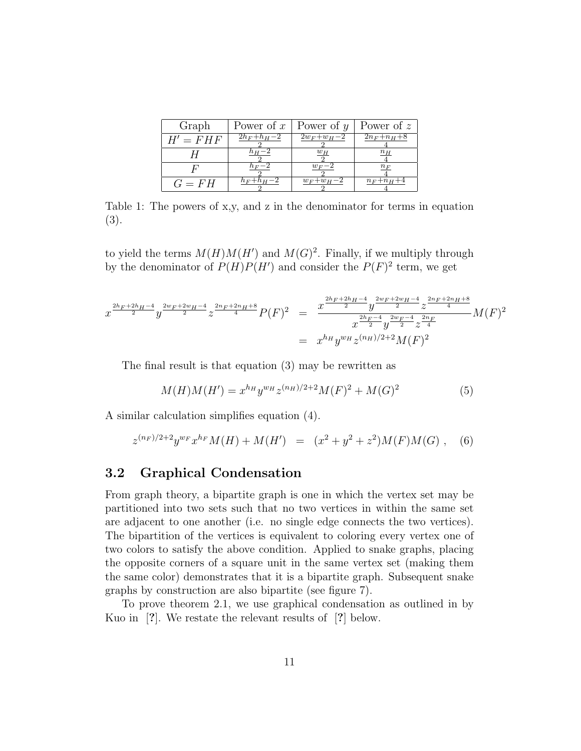| Graph      | Power of $x \perp$ | Power of $y$     | Power of z      |
|------------|--------------------|------------------|-----------------|
| $H' = FHF$ | $2h_F + h_H - 2$   | $2w_F + w_H - 2$ | $2n_F+n_H+8$    |
|            | $n_H - 2$          | $w_H$            | $n_H$           |
|            | $n_F-2$            | $w_F-2$          | $n_F$           |
| $G = FH$   | $h_F + h_H - 2$    | $w_F + w_H - 2$  | $n_F + n_H + 4$ |

Table 1: The powers of x,y, and z in the denominator for terms in equation (3).

to yield the terms  $M(H)M(H')$  and  $M(G)^2$ . Finally, if we multiply through by the denominator of  $P(H)P(H')$  and consider the  $P(F)^2$  term, we get

$$
x^{\frac{2h_F+2h_H-4}{2}}y^{\frac{2w_F+2w_H-4}{2}}z^{\frac{2n_F+2n_H+8}{4}}P(F)^2 = \frac{x^{\frac{2h_F+2h_H-4}{2}}y^{\frac{2w_F+2w_H-4}{2}}z^{\frac{2n_F+2n_H+8}{4}}}{x^{\frac{2h_F-4}{2}}y^{\frac{2w_F-4}{2}}z^{\frac{2n_F}{4}}}M(F)^2
$$
  
=  $x^{h_H}y^{w_H}z^{(n_H)/2+2}M(F)^2$ 

The final result is that equation (3) may be rewritten as

$$
M(H)M(H') = x^{h_H} y^{w_H} z^{(n_H)/2 + 2} M(F)^2 + M(G)^2
$$
\n<sup>(5)</sup>

A similar calculation simplifies equation (4).

$$
z^{(n_F)/2+2}y^{w_F}x^{h_F}M(H) + M(H') = (x^2 + y^2 + z^2)M(F)M(G),
$$
 (6)

#### 3.2 Graphical Condensation

From graph theory, a bipartite graph is one in which the vertex set may be partitioned into two sets such that no two vertices in within the same set are adjacent to one another (i.e. no single edge connects the two vertices). The bipartition of the vertices is equivalent to coloring every vertex one of two colors to satisfy the above condition. Applied to snake graphs, placing the opposite corners of a square unit in the same vertex set (making them the same color) demonstrates that it is a bipartite graph. Subsequent snake graphs by construction are also bipartite (see figure 7).

To prove theorem 2.1, we use graphical condensation as outlined in by Kuo in [?]. We restate the relevant results of [?] below.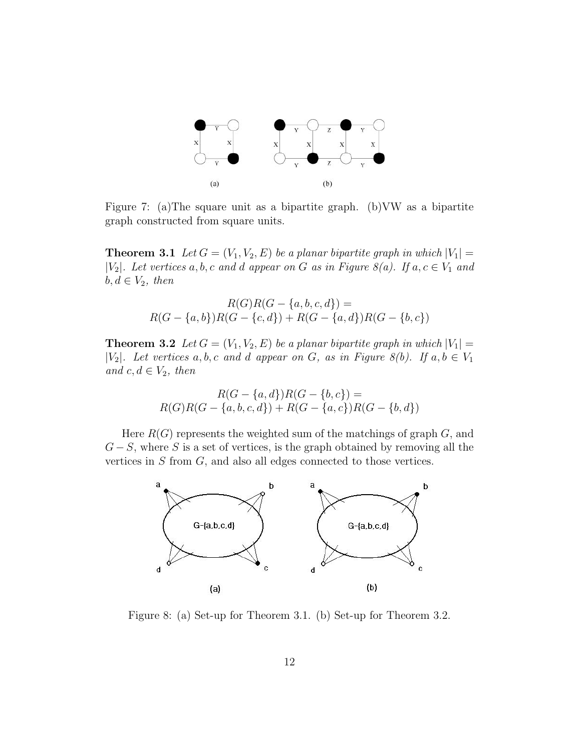

Figure 7: (a)The square unit as a bipartite graph. (b)VW as a bipartite graph constructed from square units.

**Theorem 3.1** Let  $G = (V_1, V_2, E)$  be a planar bipartite graph in which  $|V_1|$  = | $|V_2|$ . Let vertices a, b, c and d appear on G as in Figure 8(a). If  $a, c \in V_1$  and  $b, d \in V_2$ , then

$$
R(G)R(G - \{a, b, c, d\}) =
$$
  

$$
R(G - \{a, b\})R(G - \{c, d\}) + R(G - \{a, d\})R(G - \{b, c\})
$$

**Theorem 3.2** Let  $G = (V_1, V_2, E)$  be a planar bipartite graph in which  $|V_1|$  = | $|V_2|$ . Let vertices a, b, c and d appear on G, as in Figure 8(b). If  $a, b \in V_1$ and  $c, d \in V_2$ , then

$$
R(G - \{a, d\})R(G - \{b, c\}) =
$$
  
 
$$
R(G)R(G - \{a, b, c, d\}) + R(G - \{a, c\})R(G - \{b, d\})
$$

Here  $R(G)$  represents the weighted sum of the matchings of graph  $G$ , and  $G-S$ , where S is a set of vertices, is the graph obtained by removing all the vertices in S from G, and also all edges connected to those vertices.



Figure 8: (a) Set-up for Theorem 3.1. (b) Set-up for Theorem 3.2.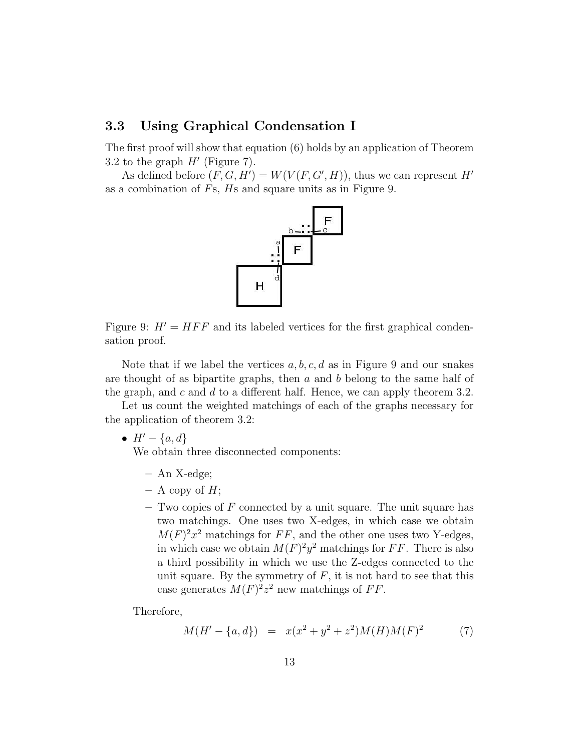#### 3.3 Using Graphical Condensation I

The first proof will show that equation (6) holds by an application of Theorem 3.2 to the graph  $H'$  (Figure 7).

As defined before  $(F, G, H') = W(V(F, G', H))$ , thus we can represent H' as a combination of Fs, Hs and square units as in Figure 9.



Figure 9:  $H' = HFF$  and its labeled vertices for the first graphical condensation proof.

Note that if we label the vertices  $a, b, c, d$  as in Figure 9 and our snakes are thought of as bipartite graphs, then  $a$  and  $b$  belong to the same half of the graph, and c and d to a different half. Hence, we can apply theorem 3.2.

Let us count the weighted matchings of each of the graphs necessary for the application of theorem 3.2:

•  $H' - \{a, d\}$ 

We obtain three disconnected components:

- An X-edge;
- $-$  A copy of  $H$ ;
- $-$  Two copies of F connected by a unit square. The unit square has two matchings. One uses two X-edges, in which case we obtain  $M(F)^2x^2$  matchings for FF, and the other one uses two Y-edges, in which case we obtain  $M(F)^2 y^2$  matchings for FF. There is also a third possibility in which we use the Z-edges connected to the unit square. By the symmetry of  $F$ , it is not hard to see that this case generates  $M(F)^2 z^2$  new matchings of FF.

Therefore,

$$
M(H' - \{a, d\}) = x(x^2 + y^2 + z^2)M(H)M(F)^2
$$
 (7)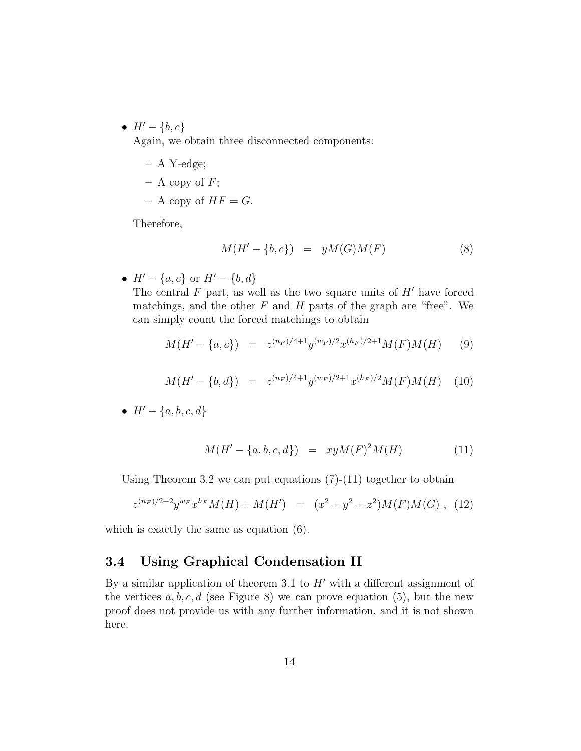•  $H' - \{b, c\}$ 

Again, we obtain three disconnected components:

- A Y-edge;
- $-$  A copy of  $F$ ;
- A copy of  $HF = G$ .

Therefore,

$$
M(H' - \{b, c\}) = yM(G)M(F)
$$
 (8)

•  $H' - \{a, c\}$  or  $H' - \{b, d\}$ 

The central  $F$  part, as well as the two square units of  $H'$  have forced matchings, and the other  $F$  and  $H$  parts of the graph are "free". We can simply count the forced matchings to obtain

$$
M(H' - \{a, c\}) = z^{(n_F)/4 + 1} y^{(w_F)/2} x^{(h_F)/2 + 1} M(F) M(H) \tag{9}
$$

$$
M(H' - \{b, d\}) = z^{(n_F)/4 + 1} y^{(w_F)/2 + 1} x^{(h_F)/2} M(F) M(H) \quad (10)
$$

•  $H' - \{a, b, c, d\}$ 

$$
M(H' - \{a, b, c, d\}) = xyM(F)^{2}M(H)
$$
\n(11)

Using Theorem 3.2 we can put equations  $(7)-(11)$  together to obtain

$$
z^{(n_F)/2+2}y^{w_F}x^{h_F}M(H) + M(H') = (x^2 + y^2 + z^2)M(F)M(G),
$$
 (12)

which is exactly the same as equation (6).

#### 3.4 Using Graphical Condensation II

By a similar application of theorem 3.1 to  $H'$  with a different assignment of the vertices  $a, b, c, d$  (see Figure 8) we can prove equation (5), but the new proof does not provide us with any further information, and it is not shown here.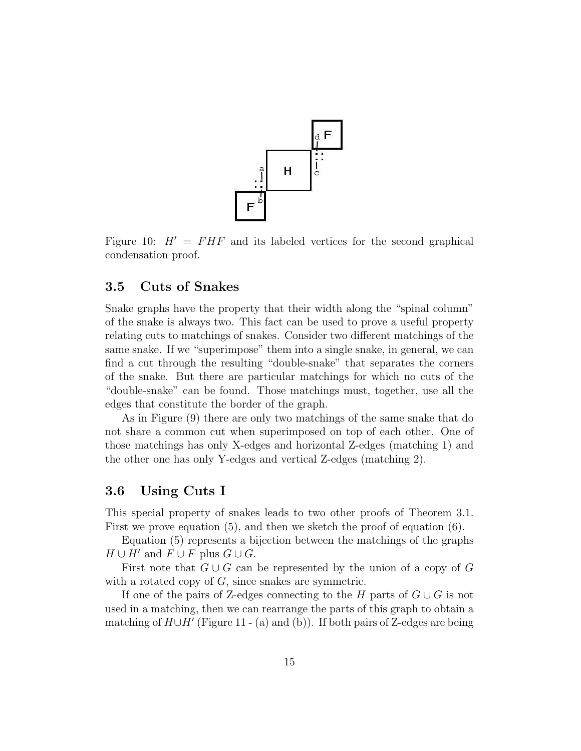

Figure 10:  $H' = FHF$  and its labeled vertices for the second graphical condensation proof.

#### 3.5 Cuts of Snakes

Snake graphs have the property that their width along the "spinal column" of the snake is always two. This fact can be used to prove a useful property relating cuts to matchings of snakes. Consider two different matchings of the same snake. If we "superimpose" them into a single snake, in general, we can find a cut through the resulting "double-snake" that separates the corners of the snake. But there are particular matchings for which no cuts of the "double-snake" can be found. Those matchings must, together, use all the edges that constitute the border of the graph.

As in Figure (9) there are only two matchings of the same snake that do not share a common cut when superimposed on top of each other. One of those matchings has only X-edges and horizontal Z-edges (matching 1) and the other one has only Y-edges and vertical Z-edges (matching 2).

#### 3.6 Using Cuts I

This special property of snakes leads to two other proofs of Theorem 3.1. First we prove equation (5), and then we sketch the proof of equation (6).

Equation (5) represents a bijection between the matchings of the graphs  $H \cup H'$  and  $F \cup F$  plus  $G \cup G$ .

First note that  $G \cup G$  can be represented by the union of a copy of G with a rotated copy of  $G$ , since snakes are symmetric.

If one of the pairs of Z-edges connecting to the H parts of  $G \cup G$  is not used in a matching, then we can rearrange the parts of this graph to obtain a matching of  $H \cup H'$  (Figure 11 - (a) and (b)). If both pairs of Z-edges are being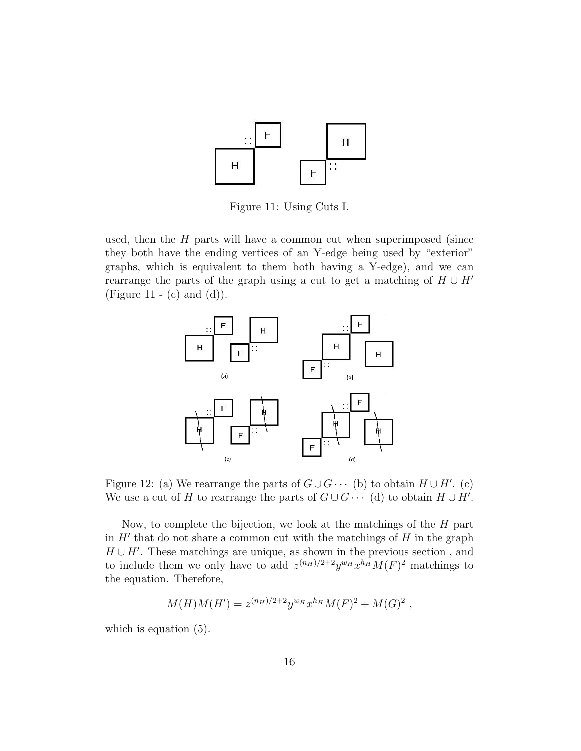

Figure 11: Using Cuts I.

used, then the  $H$  parts will have a common cut when superimposed (since they both have the ending vertices of an Y-edge being used by "exterior" graphs, which is equivalent to them both having a Y-edge), and we can rearrange the parts of the graph using a cut to get a matching of  $H \cup H'$ (Figure 11 - (c) and (d)).



Figure 12: (a) We rearrange the parts of  $G \cup G \cdots$  (b) to obtain  $H \cup H'$ . (c) We use a cut of H to rearrange the parts of  $G \cup G \cdots$  (d) to obtain  $H \cup H'$ .

Now, to complete the bijection, we look at the matchings of the H part in  $H'$  that do not share a common cut with the matchings of  $H$  in the graph  $H \cup H'$ . These matchings are unique, as shown in the previous section, and to include them we only have to add  $z^{(n_H)/2+2}y^{w_H}x^{h_H}M(F)^2$  matchings to the equation. Therefore,

$$
M(H)M(H') = z^{(n_H)/2+2} y^{w_H} x^{h_H} M(F)^2 + M(G)^2,
$$

which is equation  $(5)$ .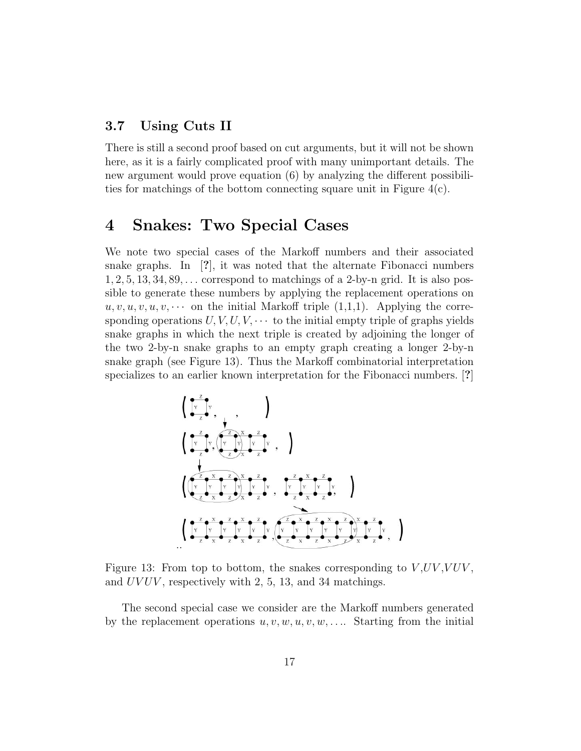#### 3.7 Using Cuts II

There is still a second proof based on cut arguments, but it will not be shown here, as it is a fairly complicated proof with many unimportant details. The new argument would prove equation (6) by analyzing the different possibilities for matchings of the bottom connecting square unit in Figure 4(c).

### 4 Snakes: Two Special Cases

We note two special cases of the Markoff numbers and their associated snake graphs. In [?], it was noted that the alternate Fibonacci numbers  $1, 2, 5, 13, 34, 89, \ldots$  correspond to matchings of a 2-by-n grid. It is also possible to generate these numbers by applying the replacement operations on  $u, v, u, v, u, v, \cdots$  on the initial Markoff triple  $(1,1,1)$ . Applying the corresponding operations  $U, V, U, V, \cdots$  to the initial empty triple of graphs yields snake graphs in which the next triple is created by adjoining the longer of the two 2-by-n snake graphs to an empty graph creating a longer 2-by-n snake graph (see Figure 13). Thus the Markoff combinatorial interpretation specializes to an earlier known interpretation for the Fibonacci numbers. [?]



Figure 13: From top to bottom, the snakes corresponding to  $V, UV, VUV,$ and UVUV, respectively with 2, 5, 13, and 34 matchings.

The second special case we consider are the Markoff numbers generated by the replacement operations  $u, v, w, u, v, w, \ldots$ . Starting from the initial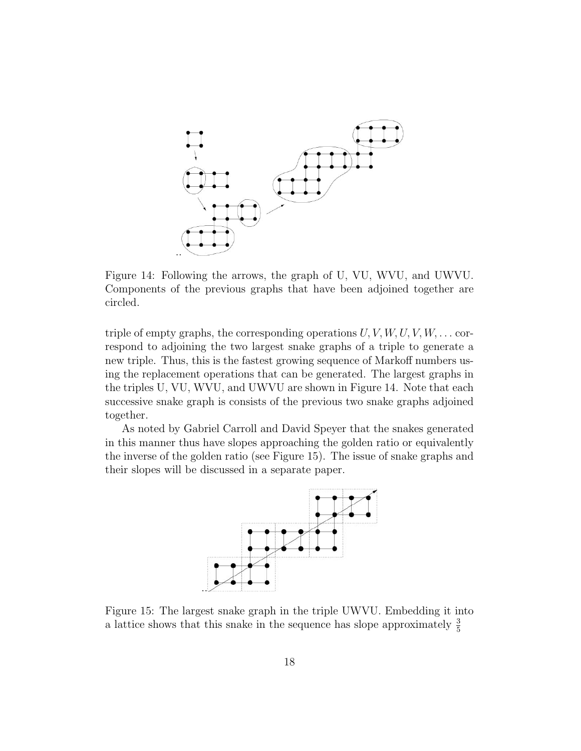

Figure 14: Following the arrows, the graph of U, VU, WVU, and UWVU. Components of the previous graphs that have been adjoined together are circled.

triple of empty graphs, the corresponding operations  $U, V, W, U, V, W, \ldots$  correspond to adjoining the two largest snake graphs of a triple to generate a new triple. Thus, this is the fastest growing sequence of Markoff numbers using the replacement operations that can be generated. The largest graphs in the triples U, VU, WVU, and UWVU are shown in Figure 14. Note that each successive snake graph is consists of the previous two snake graphs adjoined together.

As noted by Gabriel Carroll and David Speyer that the snakes generated in this manner thus have slopes approaching the golden ratio or equivalently the inverse of the golden ratio (see Figure 15). The issue of snake graphs and their slopes will be discussed in a separate paper.



Figure 15: The largest snake graph in the triple UWVU. Embedding it into a lattice shows that this snake in the sequence has slope approximately  $\frac{3}{5}$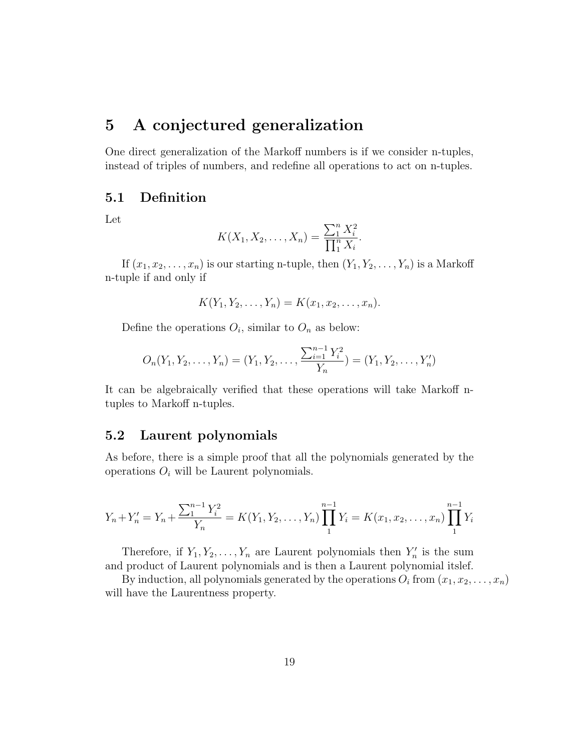## 5 A conjectured generalization

One direct generalization of the Markoff numbers is if we consider n-tuples, instead of triples of numbers, and redefine all operations to act on n-tuples.

#### 5.1 Definition

Let

$$
K(X_1, X_2, \ldots, X_n) = \frac{\sum_{1}^{n} X_i^2}{\prod_{1}^{n} X_i}.
$$

If  $(x_1, x_2, \ldots, x_n)$  is our starting n-tuple, then  $(Y_1, Y_2, \ldots, Y_n)$  is a Markoff n-tuple if and only if

$$
K(Y_1, Y_2, \ldots, Y_n) = K(x_1, x_2, \ldots, x_n).
$$

Define the operations  $O_i$ , similar to  $O_n$  as below:

$$
O_n(Y_1, Y_2, \dots, Y_n) = (Y_1, Y_2, \dots, \frac{\sum_{i=1}^{n-1} Y_i^2}{Y_n}) = (Y_1, Y_2, \dots, Y_n')
$$

It can be algebraically verified that these operations will take Markoff ntuples to Markoff n-tuples.

#### 5.2 Laurent polynomials

As before, there is a simple proof that all the polynomials generated by the operations  $O_i$  will be Laurent polynomials.

$$
Y_n + Y_n' = Y_n + \frac{\sum_{1}^{n-1} Y_i^2}{Y_n} = K(Y_1, Y_2, \dots, Y_n) \prod_{1}^{n-1} Y_i = K(x_1, x_2, \dots, x_n) \prod_{1}^{n-1} Y_i
$$

Therefore, if  $Y_1, Y_2, \ldots, Y_n$  are Laurent polynomials then  $Y'_n$  is the sum and product of Laurent polynomials and is then a Laurent polynomial itslef.

By induction, all polynomials generated by the operations  $O_i$  from  $(x_1, x_2, \ldots, x_n)$ will have the Laurentness property.